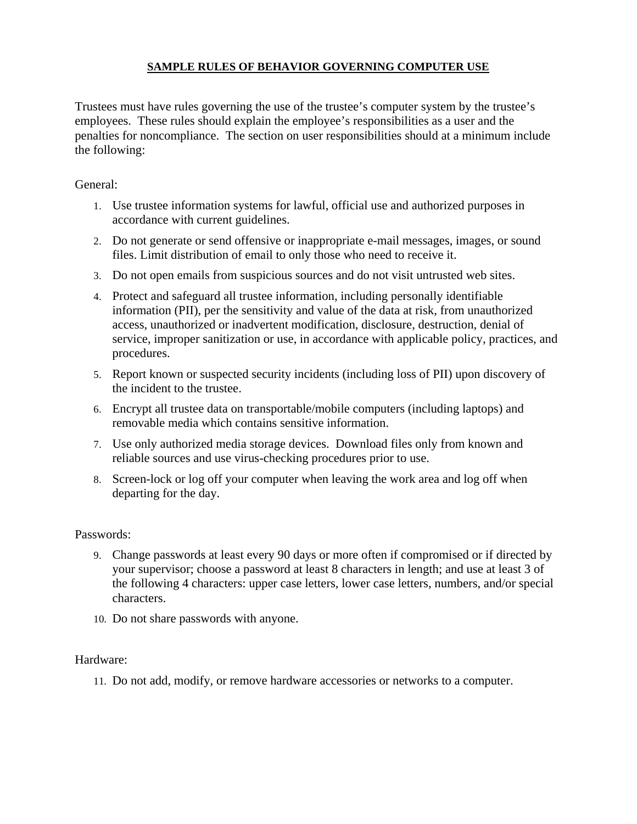## **SAMPLE RULES OF BEHAVIOR GOVERNING COMPUTER USE**

Trustees must have rules governing the use of the trustee's computer system by the trustee's employees. These rules should explain the employee's responsibilities as a user and the penalties for noncompliance. The section on user responsibilities should at a minimum include the following:

## General:

- 1. Use trustee information systems for lawful, official use and authorized purposes in accordance with current guidelines.
- 2. Do not generate or send offensive or inappropriate e-mail messages, images, or sound files. Limit distribution of email to only those who need to receive it.
- 3. Do not open emails from suspicious sources and do not visit untrusted web sites.
- 4. Protect and safeguard all trustee information, including personally identifiable information (PII), per the sensitivity and value of the data at risk, from unauthorized access, unauthorized or inadvertent modification, disclosure, destruction, denial of service, improper sanitization or use, in accordance with applicable policy, practices, and procedures.
- 5. Report known or suspected security incidents (including loss of PII) upon discovery of the incident to the trustee.
- 6. Encrypt all trustee data on transportable/mobile computers (including laptops) and removable media which contains sensitive information.
- 7. Use only authorized media storage devices. Download files only from known and reliable sources and use virus-checking procedures prior to use.
- 8. Screen-lock or log off your computer when leaving the work area and log off when departing for the day.

## Passwords:

- 9. Change passwords at least every 90 days or more often if compromised or if directed by your supervisor; choose a password at least 8 characters in length; and use at least 3 of the following 4 characters: upper case letters, lower case letters, numbers, and/or special characters.
- 10. Do not share passwords with anyone.

## Hardware:

11. Do not add, modify, or remove hardware accessories or networks to a computer.